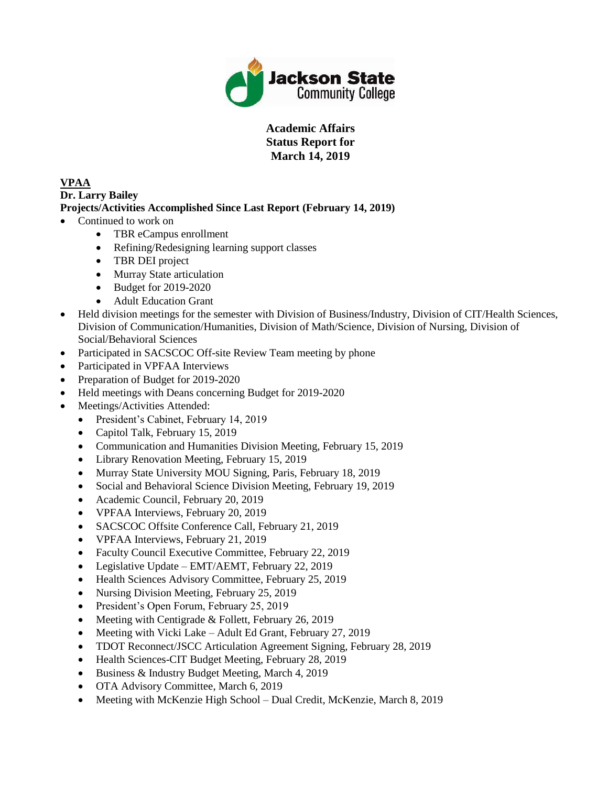

## **Academic Affairs Status Report for March 14, 2019**

#### **VPAA Dr. Larry Bailey Projects/Activities Accomplished Since Last Report (February 14, 2019)**

- Continued to work on
	- TBR eCampus enrollment
	- Refining/Redesigning learning support classes
	- TBR DEI project
	- Murray State articulation
	- Budget for 2019-2020
	- Adult Education Grant
- Held division meetings for the semester with Division of Business/Industry, Division of CIT/Health Sciences, Division of Communication/Humanities, Division of Math/Science, Division of Nursing, Division of Social/Behavioral Sciences
- Participated in SACSCOC Off-site Review Team meeting by phone
- Participated in VPFAA Interviews
- Preparation of Budget for 2019-2020
- Held meetings with Deans concerning Budget for 2019-2020
- Meetings/Activities Attended:
	- President's Cabinet, February 14, 2019
	- Capitol Talk, February 15, 2019
	- Communication and Humanities Division Meeting, February 15, 2019
	- Library Renovation Meeting, February 15, 2019
	- Murray State University MOU Signing, Paris, February 18, 2019
	- Social and Behavioral Science Division Meeting, February 19, 2019
	- Academic Council, February 20, 2019
	- VPFAA Interviews, February 20, 2019
	- SACSCOC Offsite Conference Call, February 21, 2019
	- VPFAA Interviews, February 21, 2019
	- Faculty Council Executive Committee, February 22, 2019
	- Legislative Update EMT/AEMT, February 22, 2019
	- Health Sciences Advisory Committee, February 25, 2019
	- Nursing Division Meeting, February 25, 2019
	- President's Open Forum, February 25, 2019
	- Meeting with Centigrade  $&$  Follett, February 26, 2019
	- Meeting with Vicki Lake Adult Ed Grant, February 27, 2019
	- TDOT Reconnect/JSCC Articulation Agreement Signing, February 28, 2019
	- Health Sciences-CIT Budget Meeting, February 28, 2019
	- Business & Industry Budget Meeting, March 4, 2019
	- OTA Advisory Committee, March 6, 2019
	- Meeting with McKenzie High School Dual Credit, McKenzie, March 8, 2019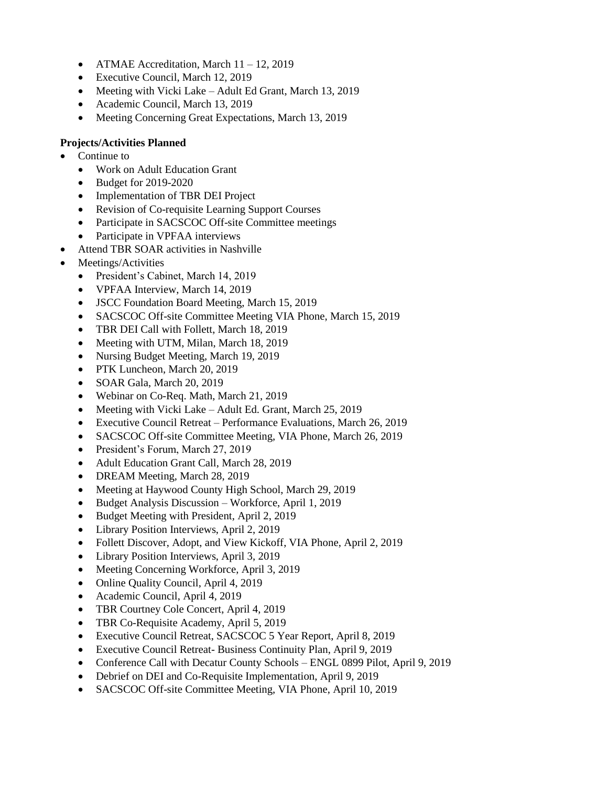- ATMAE Accreditation, March 11 12, 2019
- Executive Council, March 12, 2019
- Meeting with Vicki Lake Adult Ed Grant, March 13, 2019
- Academic Council, March 13, 2019
- Meeting Concerning Great Expectations, March 13, 2019

- Continue to
	- Work on Adult Education Grant
	- Budget for 2019-2020
	- Implementation of TBR DEI Project
	- Revision of Co-requisite Learning Support Courses
	- Participate in SACSCOC Off-site Committee meetings
	- Participate in VPFAA interviews
- Attend TBR SOAR activities in Nashville
- Meetings/Activities
	- President's Cabinet, March 14, 2019
	- VPFAA Interview, March 14, 2019
	- JSCC Foundation Board Meeting, March 15, 2019
	- SACSCOC Off-site Committee Meeting VIA Phone, March 15, 2019
	- TBR DEI Call with Follett, March 18, 2019
	- Meeting with UTM, Milan, March 18, 2019
	- Nursing Budget Meeting, March 19, 2019
	- PTK Luncheon, March 20, 2019
	- SOAR Gala, March 20, 2019
	- Webinar on Co-Req. Math, March 21, 2019
	- Meeting with Vicki Lake Adult Ed. Grant, March 25, 2019
	- Executive Council Retreat Performance Evaluations, March 26, 2019
	- SACSCOC Off-site Committee Meeting, VIA Phone, March 26, 2019
	- President's Forum, March 27, 2019
	- Adult Education Grant Call, March 28, 2019
	- DREAM Meeting, March 28, 2019
	- Meeting at Haywood County High School, March 29, 2019
	- Budget Analysis Discussion Workforce, April 1, 2019
	- Budget Meeting with President, April 2, 2019
	- Library Position Interviews, April 2, 2019
	- Follett Discover, Adopt, and View Kickoff, VIA Phone, April 2, 2019
	- Library Position Interviews, April 3, 2019
	- Meeting Concerning Workforce, April 3, 2019
	- Online Quality Council, April 4, 2019
	- Academic Council, April 4, 2019
	- TBR Courtney Cole Concert, April 4, 2019
	- TBR Co-Requisite Academy, April 5, 2019
	- Executive Council Retreat, SACSCOC 5 Year Report, April 8, 2019
	- Executive Council Retreat- Business Continuity Plan, April 9, 2019
	- Conference Call with Decatur County Schools ENGL 0899 Pilot, April 9, 2019
	- Debrief on DEI and Co-Requisite Implementation, April 9, 2019
	- SACSCOC Off-site Committee Meeting, VIA Phone, April 10, 2019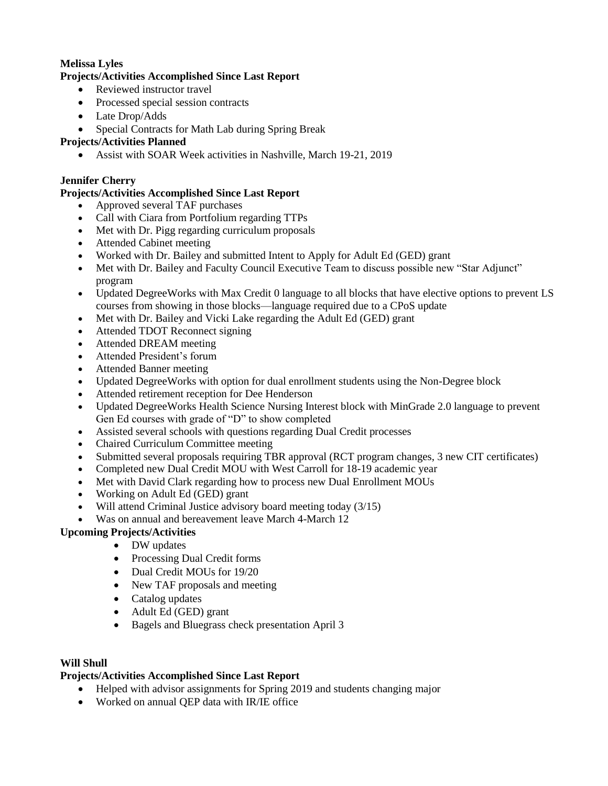### **Melissa Lyles**

#### **Projects/Activities Accomplished Since Last Report**

- Reviewed instructor travel
- Processed special session contracts
- Late Drop/Adds
- Special Contracts for Math Lab during Spring Break

### **Projects/Activities Planned**

Assist with SOAR Week activities in Nashville, March 19-21, 2019

### **Jennifer Cherry**

#### **Projects/Activities Accomplished Since Last Report**

- Approved several TAF purchases
- Call with Ciara from Portfolium regarding TTPs
- Met with Dr. Pigg regarding curriculum proposals
- Attended Cabinet meeting
- Worked with Dr. Bailey and submitted Intent to Apply for Adult Ed (GED) grant
- Met with Dr. Bailey and Faculty Council Executive Team to discuss possible new "Star Adjunct" program
- Updated DegreeWorks with Max Credit 0 language to all blocks that have elective options to prevent LS courses from showing in those blocks—language required due to a CPoS update
- Met with Dr. Bailey and Vicki Lake regarding the Adult Ed (GED) grant
- Attended TDOT Reconnect signing
- Attended DREAM meeting
- Attended President's forum
- Attended Banner meeting
- Updated DegreeWorks with option for dual enrollment students using the Non-Degree block
- Attended retirement reception for Dee Henderson
- Updated DegreeWorks Health Science Nursing Interest block with MinGrade 2.0 language to prevent Gen Ed courses with grade of "D" to show completed
- Assisted several schools with questions regarding Dual Credit processes
- Chaired Curriculum Committee meeting
- Submitted several proposals requiring TBR approval (RCT program changes, 3 new CIT certificates)
- Completed new Dual Credit MOU with West Carroll for 18-19 academic year
- Met with David Clark regarding how to process new Dual Enrollment MOUs
- Working on Adult Ed (GED) grant
- Will attend Criminal Justice advisory board meeting today (3/15)
- Was on annual and bereavement leave March 4-March 12

## **Upcoming Projects/Activities**

- DW updates
- Processing Dual Credit forms
- Dual Credit MOUs for 19/20
- New TAF proposals and meeting
- Catalog updates
- Adult Ed (GED) grant
- Bagels and Bluegrass check presentation April 3

#### **Will Shull**

#### **Projects/Activities Accomplished Since Last Report**

- Helped with advisor assignments for Spring 2019 and students changing major
- Worked on annual OEP data with IR/IE office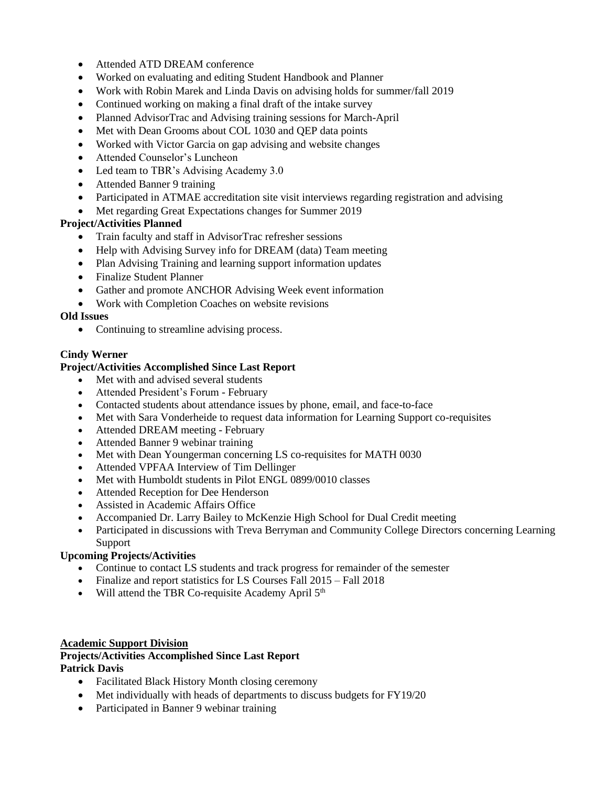- Attended ATD DREAM conference
- Worked on evaluating and editing Student Handbook and Planner
- Work with Robin Marek and Linda Davis on advising holds for summer/fall 2019
- Continued working on making a final draft of the intake survey
- Planned AdvisorTrac and Advising training sessions for March-April
- Met with Dean Grooms about COL 1030 and QEP data points
- Worked with Victor Garcia on gap advising and website changes
- Attended Counselor's Luncheon
- Led team to TBR's Advising Academy 3.0
- Attended Banner 9 training
- Participated in ATMAE accreditation site visit interviews regarding registration and advising
- Met regarding Great Expectations changes for Summer 2019

- Train faculty and staff in AdvisorTrac refresher sessions
- Help with Advising Survey info for DREAM (data) Team meeting
- Plan Advising Training and learning support information updates
- Finalize Student Planner
- Gather and promote ANCHOR Advising Week event information
- Work with Completion Coaches on website revisions

# **Old Issues**

• Continuing to streamline advising process.

# **Cindy Werner**

# **Project/Activities Accomplished Since Last Report**

- Met with and advised several students
- Attended President's Forum February
- Contacted students about attendance issues by phone, email, and face-to-face
- Met with Sara Vonderheide to request data information for Learning Support co-requisites
- Attended DREAM meeting February
- Attended Banner 9 webinar training
- Met with Dean Youngerman concerning LS co-requisites for MATH 0030
- Attended VPFAA Interview of Tim Dellinger
- Met with Humboldt students in Pilot ENGL 0899/0010 classes
- Attended Reception for Dee Henderson
- Assisted in Academic Affairs Office
- Accompanied Dr. Larry Bailey to McKenzie High School for Dual Credit meeting
- Participated in discussions with Treva Berryman and Community College Directors concerning Learning Support

# **Upcoming Projects/Activities**

- Continue to contact LS students and track progress for remainder of the semester
- Finalize and report statistics for LS Courses Fall 2015 Fall 2018
- $\bullet$  Will attend the TBR Co-requisite Academy April  $5<sup>th</sup>$

#### **Academic Support Division**

#### **Projects/Activities Accomplished Since Last Report Patrick Davis**

- Facilitated Black History Month closing ceremony
- Met individually with heads of departments to discuss budgets for FY19/20
- Participated in Banner 9 webinar training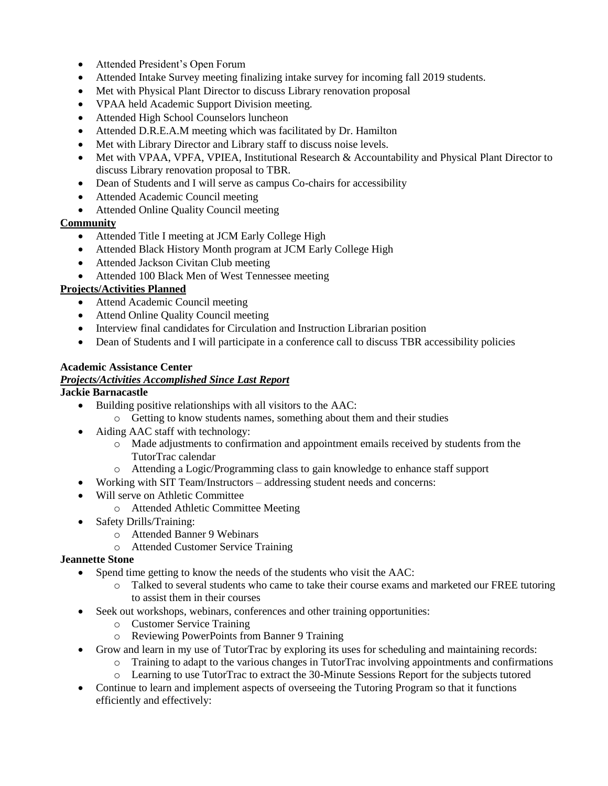- Attended President's Open Forum
- Attended Intake Survey meeting finalizing intake survey for incoming fall 2019 students.
- Met with Physical Plant Director to discuss Library renovation proposal
- VPAA held Academic Support Division meeting.
- Attended High School Counselors luncheon
- Attended D.R.E.A.M meeting which was facilitated by Dr. Hamilton
- Met with Library Director and Library staff to discuss noise levels.
- Met with VPAA, VPFA, VPIEA, Institutional Research & Accountability and Physical Plant Director to discuss Library renovation proposal to TBR.
- Dean of Students and I will serve as campus Co-chairs for accessibility
- Attended Academic Council meeting
- Attended Online Quality Council meeting

### **Community**

- Attended Title I meeting at JCM Early College High
- Attended Black History Month program at JCM Early College High
- Attended Jackson Civitan Club meeting
- Attended 100 Black Men of West Tennessee meeting

### **Projects/Activities Planned**

- Attend Academic Council meeting
- Attend Online Quality Council meeting
- Interview final candidates for Circulation and Instruction Librarian position
- Dean of Students and I will participate in a conference call to discuss TBR accessibility policies

#### **Academic Assistance Center**

### *Projects/Activities Accomplished Since Last Report*

#### **Jackie Barnacastle**

- Building positive relationships with all visitors to the AAC:
	- o Getting to know students names, something about them and their studies
- Aiding AAC staff with technology:
	- o Made adjustments to confirmation and appointment emails received by students from the TutorTrac calendar
	- o Attending a Logic/Programming class to gain knowledge to enhance staff support
- Working with SIT Team/Instructors addressing student needs and concerns:
- Will serve on Athletic Committee
	- o Attended Athletic Committee Meeting
- Safety Drills/Training:
	- o Attended Banner 9 Webinars
	- o Attended Customer Service Training

#### **Jeannette Stone**

- Spend time getting to know the needs of the students who visit the AAC:
	- o Talked to several students who came to take their course exams and marketed our FREE tutoring to assist them in their courses
- Seek out workshops, webinars, conferences and other training opportunities:
	- o Customer Service Training
	- o Reviewing PowerPoints from Banner 9 Training
- Grow and learn in my use of TutorTrac by exploring its uses for scheduling and maintaining records:
	- $\circ$  Training to adapt to the various changes in TutorTrac involving appointments and confirmations
	- o Learning to use TutorTrac to extract the 30-Minute Sessions Report for the subjects tutored
- Continue to learn and implement aspects of overseeing the Tutoring Program so that it functions efficiently and effectively: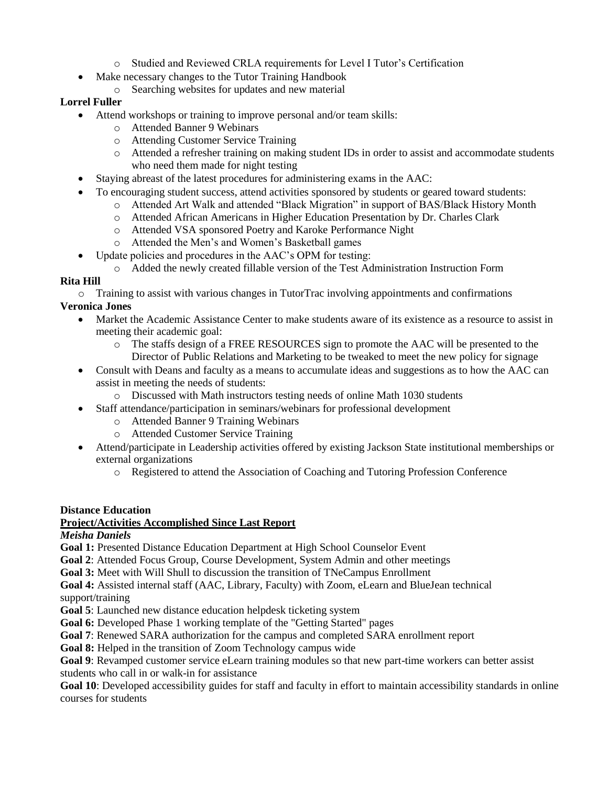- o Studied and Reviewed CRLA requirements for Level I Tutor's Certification
- Make necessary changes to the Tutor Training Handbook
	- o Searching websites for updates and new material

# **Lorrel Fuller**

- Attend workshops or training to improve personal and/or team skills:
	- o Attended Banner 9 Webinars
	- o Attending Customer Service Training
	- o Attended a refresher training on making student IDs in order to assist and accommodate students who need them made for night testing
- Staying abreast of the latest procedures for administering exams in the AAC:
- To encouraging student success, attend activities sponsored by students or geared toward students:
	- o Attended Art Walk and attended "Black Migration" in support of BAS/Black History Month
	- o Attended African Americans in Higher Education Presentation by Dr. Charles Clark
	- o Attended VSA sponsored Poetry and Karoke Performance Night
	- o Attended the Men's and Women's Basketball games
- Update policies and procedures in the AAC's OPM for testing:
	- o Added the newly created fillable version of the Test Administration Instruction Form

# **Rita Hill**

o Training to assist with various changes in TutorTrac involving appointments and confirmations

# **Veronica Jones**

- Market the Academic Assistance Center to make students aware of its existence as a resource to assist in meeting their academic goal:
	- o The staffs design of a FREE RESOURCES sign to promote the AAC will be presented to the Director of Public Relations and Marketing to be tweaked to meet the new policy for signage
- Consult with Deans and faculty as a means to accumulate ideas and suggestions as to how the AAC can assist in meeting the needs of students:
	- o Discussed with Math instructors testing needs of online Math 1030 students
	- Staff attendance/participation in seminars/webinars for professional development
		- o Attended Banner 9 Training Webinars
		- o Attended Customer Service Training
- Attend/participate in Leadership activities offered by existing Jackson State institutional memberships or external organizations
	- o Registered to attend the Association of Coaching and Tutoring Profession Conference

# **Distance Education**

# **Project/Activities Accomplished Since Last Report**

*Meisha Daniels*

**Goal 1:** Presented Distance Education Department at High School Counselor Event

**Goal 2**: Attended Focus Group, Course Development, System Admin and other meetings

**Goal 3:** Meet with Will Shull to discussion the transition of TNeCampus Enrollment

**Goal 4:** Assisted internal staff (AAC, Library, Faculty) with Zoom, eLearn and BlueJean technical support/training

**Goal 5**: Launched new distance education helpdesk ticketing system

Goal 6: Developed Phase 1 working template of the "Getting Started" pages

**Goal 7**: Renewed SARA authorization for the campus and completed SARA enrollment report

**Goal 8:** Helped in the transition of Zoom Technology campus wide

**Goal 9**: Revamped customer service eLearn training modules so that new part-time workers can better assist students who call in or walk-in for assistance

**Goal 10**: Developed accessibility guides for staff and faculty in effort to maintain accessibility standards in online courses for students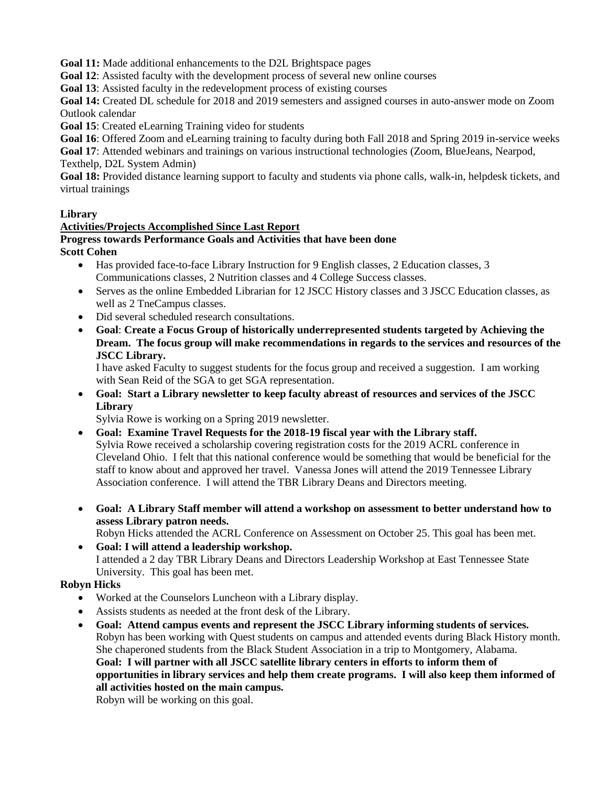**Goal 11:** Made additional enhancements to the D2L Brightspace pages

**Goal 12**: Assisted faculty with the development process of several new online courses

**Goal 13**: Assisted faculty in the redevelopment process of existing courses

**Goal 14:** Created DL schedule for 2018 and 2019 semesters and assigned courses in auto-answer mode on Zoom Outlook calendar

**Goal 15**: Created eLearning Training video for students

**Goal 16**: Offered Zoom and eLearning training to faculty during both Fall 2018 and Spring 2019 in-service weeks

**Goal 17**: Attended webinars and trainings on various instructional technologies (Zoom, BlueJeans, Nearpod,

Texthelp, D2L System Admin)

**Goal 18:** Provided distance learning support to faculty and students via phone calls, walk-in, helpdesk tickets, and virtual trainings

### **Library**

### **Activities/Projects Accomplished Since Last Report**

#### **Progress towards Performance Goals and Activities that have been done Scott Cohen**

- Has provided face-to-face Library Instruction for 9 English classes, 2 Education classes, 3 Communications classes, 2 Nutrition classes and 4 College Success classes.
- Serves as the online Embedded Librarian for 12 JSCC History classes and 3 JSCC Education classes, as well as 2 TneCampus classes.
- Did several scheduled research consultations.
- **Goal**: **Create a Focus Group of historically underrepresented students targeted by Achieving the Dream. The focus group will make recommendations in regards to the services and resources of the JSCC Library.**

I have asked Faculty to suggest students for the focus group and received a suggestion. I am working with Sean Reid of the SGA to get SGA representation.

 **Goal: Start a Library newsletter to keep faculty abreast of resources and services of the JSCC Library**

Sylvia Rowe is working on a Spring 2019 newsletter.

- **Goal: Examine Travel Requests for the 2018-19 fiscal year with the Library staff.** Sylvia Rowe received a scholarship covering registration costs for the 2019 ACRL conference in Cleveland Ohio. I felt that this national conference would be something that would be beneficial for the staff to know about and approved her travel. Vanessa Jones will attend the 2019 Tennessee Library Association conference. I will attend the TBR Library Deans and Directors meeting.
- **Goal: A Library Staff member will attend a workshop on assessment to better understand how to assess Library patron needs.**

Robyn Hicks attended the ACRL Conference on Assessment on October 25. This goal has been met.

 **Goal: I will attend a leadership workshop.** I attended a 2 day TBR Library Deans and Directors Leadership Workshop at East Tennessee State University. This goal has been met.

## **Robyn Hicks**

- Worked at the Counselors Luncheon with a Library display.
- Assists students as needed at the front desk of the Library.
- **Goal: Attend campus events and represent the JSCC Library informing students of services.** Robyn has been working with Quest students on campus and attended events during Black History month. She chaperoned students from the Black Student Association in a trip to Montgomery, Alabama. **Goal: I will partner with all JSCC satellite library centers in efforts to inform them of opportunities in library services and help them create programs. I will also keep them informed of all activities hosted on the main campus.**

Robyn will be working on this goal.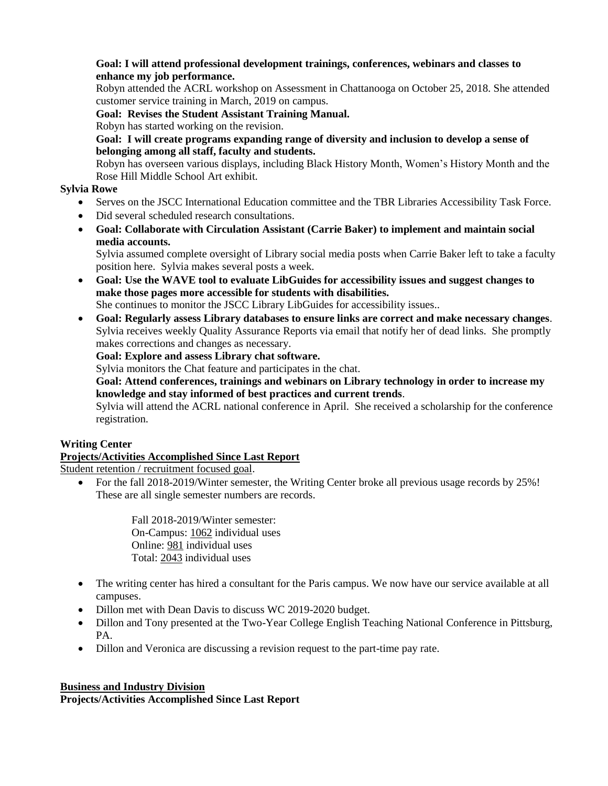### **Goal: I will attend professional development trainings, conferences, webinars and classes to enhance my job performance.**

Robyn attended the ACRL workshop on Assessment in Chattanooga on October 25, 2018. She attended customer service training in March, 2019 on campus.

**Goal: Revises the Student Assistant Training Manual.**

Robyn has started working on the revision.

**Goal: I will create programs expanding range of diversity and inclusion to develop a sense of belonging among all staff, faculty and students.**

Robyn has overseen various displays, including Black History Month, Women's History Month and the Rose Hill Middle School Art exhibit.

# **Sylvia Rowe**

- Serves on the JSCC International Education committee and the TBR Libraries Accessibility Task Force.
- Did several scheduled research consultations.
- **Goal: Collaborate with Circulation Assistant (Carrie Baker) to implement and maintain social media accounts.**

Sylvia assumed complete oversight of Library social media posts when Carrie Baker left to take a faculty position here. Sylvia makes several posts a week.

 **Goal: Use the WAVE tool to evaluate LibGuides for accessibility issues and suggest changes to make those pages more accessible for students with disabilities.**

She continues to monitor the JSCC Library LibGuides for accessibility issues..

 **Goal: Regularly assess Library databases to ensure links are correct and make necessary changes**. Sylvia receives weekly Quality Assurance Reports via email that notify her of dead links. She promptly makes corrections and changes as necessary.

**Goal: Explore and assess Library chat software.**

Sylvia monitors the Chat feature and participates in the chat.

**Goal: Attend conferences, trainings and webinars on Library technology in order to increase my knowledge and stay informed of best practices and current trends**.

Sylvia will attend the ACRL national conference in April. She received a scholarship for the conference registration.

# **Writing Center**

# **Projects/Activities Accomplished Since Last Report**

Student retention / recruitment focused goal.

 For the fall 2018-2019/Winter semester, the Writing Center broke all previous usage records by 25%! These are all single semester numbers are records.

> Fall 2018-2019/Winter semester: On-Campus: 1062 individual uses Online: 981 individual uses Total: 2043 individual uses

- The writing center has hired a consultant for the Paris campus. We now have our service available at all campuses.
- Dillon met with Dean Davis to discuss WC 2019-2020 budget.
- Dillon and Tony presented at the Two-Year College English Teaching National Conference in Pittsburg, PA.
- Dillon and Veronica are discussing a revision request to the part-time pay rate.

## **Business and Industry Division**

**Projects/Activities Accomplished Since Last Report**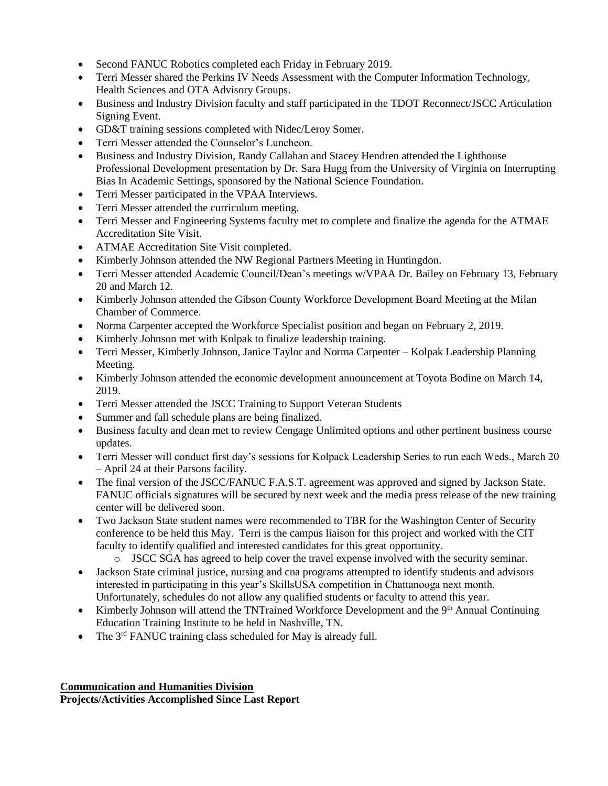- Second FANUC Robotics completed each Friday in February 2019.
- Terri Messer shared the Perkins IV Needs Assessment with the Computer Information Technology, Health Sciences and OTA Advisory Groups.
- Business and Industry Division faculty and staff participated in the TDOT Reconnect/JSCC Articulation Signing Event.
- GD&T training sessions completed with Nidec/Leroy Somer.
- Terri Messer attended the Counselor's Luncheon.
- Business and Industry Division, Randy Callahan and Stacey Hendren attended the Lighthouse Professional Development presentation by Dr. Sara Hugg from the University of Virginia on Interrupting Bias In Academic Settings, sponsored by the National Science Foundation.
- Terri Messer participated in the VPAA Interviews.
- Terri Messer attended the curriculum meeting.
- Terri Messer and Engineering Systems faculty met to complete and finalize the agenda for the ATMAE Accreditation Site Visit.
- ATMAE Accreditation Site Visit completed.
- Kimberly Johnson attended the NW Regional Partners Meeting in Huntingdon.
- Terri Messer attended Academic Council/Dean's meetings w/VPAA Dr. Bailey on February 13, February 20 and March 12.
- Kimberly Johnson attended the Gibson County Workforce Development Board Meeting at the Milan Chamber of Commerce.
- Norma Carpenter accepted the Workforce Specialist position and began on February 2, 2019.
- Kimberly Johnson met with Kolpak to finalize leadership training.
- Terri Messer, Kimberly Johnson, Janice Taylor and Norma Carpenter Kolpak Leadership Planning Meeting.
- Kimberly Johnson attended the economic development announcement at Toyota Bodine on March 14, 2019.
- Terri Messer attended the JSCC Training to Support Veteran Students
- Summer and fall schedule plans are being finalized.
- Business faculty and dean met to review Cengage Unlimited options and other pertinent business course updates.
- Terri Messer will conduct first day's sessions for Kolpack Leadership Series to run each Weds., March 20 – April 24 at their Parsons facility.
- The final version of the JSCC/FANUC F.A.S.T. agreement was approved and signed by Jackson State. FANUC officials signatures will be secured by next week and the media press release of the new training center will be delivered soon.
- Two Jackson State student names were recommended to TBR for the Washington Center of Security conference to be held this May. Terri is the campus liaison for this project and worked with the CIT faculty to identify qualified and interested candidates for this great opportunity.
	- o JSCC SGA has agreed to help cover the travel expense involved with the security seminar.
- Jackson State criminal justice, nursing and cna programs attempted to identify students and advisors interested in participating in this year's SkillsUSA competition in Chattanooga next month. Unfortunately, schedules do not allow any qualified students or faculty to attend this year.
- Kimberly Johnson will attend the TNTrained Workforce Development and the  $9<sup>th</sup>$  Annual Continuing Education Training Institute to be held in Nashville, TN.
- The 3rd FANUC training class scheduled for May is already full.

## **Communication and Humanities Division**

**Projects/Activities Accomplished Since Last Report**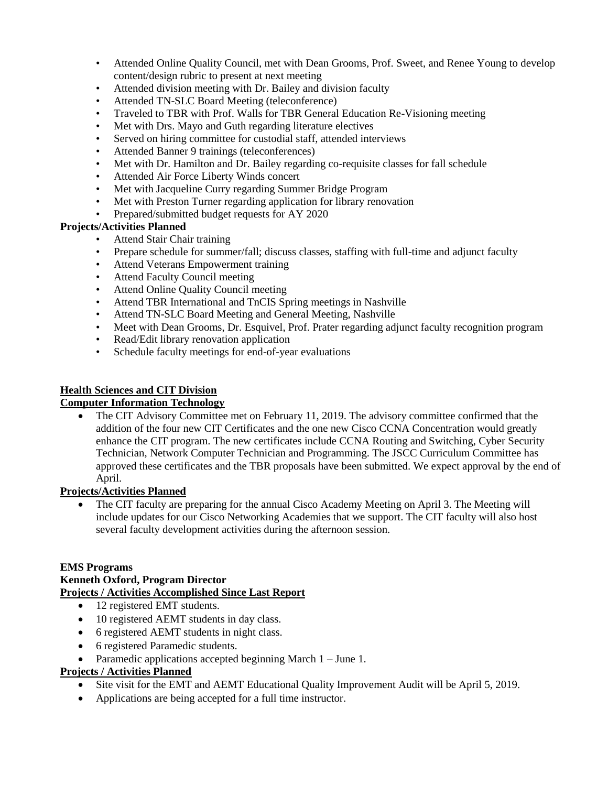- Attended Online Quality Council, met with Dean Grooms, Prof. Sweet, and Renee Young to develop content/design rubric to present at next meeting
- Attended division meeting with Dr. Bailey and division faculty
- Attended TN-SLC Board Meeting (teleconference)
- Traveled to TBR with Prof. Walls for TBR General Education Re-Visioning meeting
- Met with Drs. Mayo and Guth regarding literature electives
- Served on hiring committee for custodial staff, attended interviews
- Attended Banner 9 trainings (teleconferences)
- Met with Dr. Hamilton and Dr. Bailey regarding co-requisite classes for fall schedule
- Attended Air Force Liberty Winds concert
- Met with Jacqueline Curry regarding Summer Bridge Program
- Met with Preston Turner regarding application for library renovation
- Prepared/submitted budget requests for AY 2020

- Attend Stair Chair training
- Prepare schedule for summer/fall; discuss classes, staffing with full-time and adjunct faculty
- Attend Veterans Empowerment training
- Attend Faculty Council meeting
- Attend Online Quality Council meeting
- Attend TBR International and TnCIS Spring meetings in Nashville
- Attend TN-SLC Board Meeting and General Meeting, Nashville
- Meet with Dean Grooms, Dr. Esquivel, Prof. Prater regarding adjunct faculty recognition program
- Read/Edit library renovation application
- Schedule faculty meetings for end-of-year evaluations

## **Health Sciences and CIT Division**

## **Computer Information Technology**

• The CIT Advisory Committee met on February 11, 2019. The advisory committee confirmed that the addition of the four new CIT Certificates and the one new Cisco CCNA Concentration would greatly enhance the CIT program. The new certificates include CCNA Routing and Switching, Cyber Security Technician, Network Computer Technician and Programming. The JSCC Curriculum Committee has approved these certificates and the TBR proposals have been submitted. We expect approval by the end of April.

## **Projects/Activities Planned**

 The CIT faculty are preparing for the annual Cisco Academy Meeting on April 3. The Meeting will include updates for our Cisco Networking Academies that we support. The CIT faculty will also host several faculty development activities during the afternoon session.

## **EMS Programs**

## **Kenneth Oxford, Program Director**

## **Projects / Activities Accomplished Since Last Report**

- 12 registered EMT students.
- 10 registered AEMT students in day class.
- 6 registered AEMT students in night class.
- 6 registered Paramedic students.
- Paramedic applications accepted beginning March  $1 -$  June 1.

# **Projects / Activities Planned**

- Site visit for the EMT and AEMT Educational Quality Improvement Audit will be April 5, 2019.
- Applications are being accepted for a full time instructor.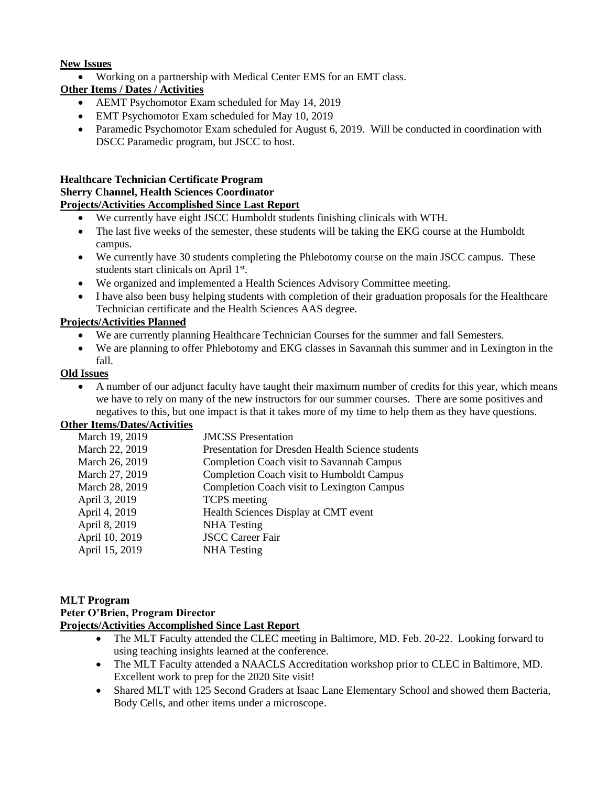#### **New Issues**

Working on a partnership with Medical Center EMS for an EMT class.

# **Other Items / Dates / Activities**

- AEMT Psychomotor Exam scheduled for May 14, 2019
- EMT Psychomotor Exam scheduled for May 10, 2019
- Paramedic Psychomotor Exam scheduled for August 6, 2019. Will be conducted in coordination with DSCC Paramedic program, but JSCC to host.

#### **Healthcare Technician Certificate Program Sherry Channel, Health Sciences Coordinator Projects/Activities Accomplished Since Last Report**

- We currently have eight JSCC Humboldt students finishing clinicals with WTH.
- The last five weeks of the semester, these students will be taking the EKG course at the Humboldt campus.
- We currently have 30 students completing the Phlebotomy course on the main JSCC campus. These students start clinicals on April 1st.
- We organized and implemented a Health Sciences Advisory Committee meeting.
- I have also been busy helping students with completion of their graduation proposals for the Healthcare Technician certificate and the Health Sciences AAS degree.

# **Projects/Activities Planned**

- We are currently planning Healthcare Technician Courses for the summer and fall Semesters.
- We are planning to offer Phlebotomy and EKG classes in Savannah this summer and in Lexington in the fall.

## **Old Issues**

 A number of our adjunct faculty have taught their maximum number of credits for this year, which means we have to rely on many of the new instructors for our summer courses. There are some positives and negatives to this, but one impact is that it takes more of my time to help them as they have questions.

#### **Other Items/Dates/Activities**

| March 19, 2019 | <b>JMCSS</b> Presentation                         |
|----------------|---------------------------------------------------|
| March 22, 2019 | Presentation for Dresden Health Science students  |
| March 26, 2019 | <b>Completion Coach visit to Savannah Campus</b>  |
| March 27, 2019 | Completion Coach visit to Humboldt Campus         |
| March 28, 2019 | <b>Completion Coach visit to Lexington Campus</b> |
| April 3, 2019  | <b>TCPS</b> meeting                               |
| April 4, 2019  | Health Sciences Display at CMT event              |
| April 8, 2019  | <b>NHA</b> Testing                                |
| April 10, 2019 | <b>JSCC Career Fair</b>                           |
| April 15, 2019 | <b>NHA</b> Testing                                |
|                |                                                   |

#### **MLT Program Peter O'Brien, Program Director Projects/Activities Accomplished Since Last Report**

- The MLT Faculty attended the CLEC meeting in Baltimore, MD. Feb. 20-22. Looking forward to using teaching insights learned at the conference.
- The MLT Faculty attended a NAACLS Accreditation workshop prior to CLEC in Baltimore, MD. Excellent work to prep for the 2020 Site visit!
- Shared MLT with 125 Second Graders at Isaac Lane Elementary School and showed them Bacteria, Body Cells, and other items under a microscope.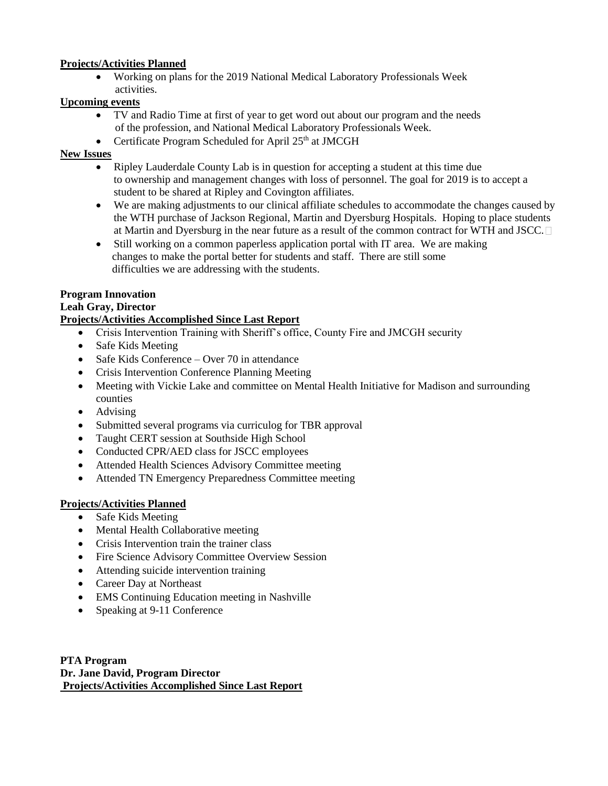Working on plans for the 2019 National Medical Laboratory Professionals Week activities.

### **Upcoming events**

- TV and Radio Time at first of year to get word out about our program and the needs of the profession, and National Medical Laboratory Professionals Week.
- Certificate Program Scheduled for April  $25<sup>th</sup>$  at JMCGH

### **New Issues**

- Ripley Lauderdale County Lab is in question for accepting a student at this time due to ownership and management changes with loss of personnel. The goal for 2019 is to accept a student to be shared at Ripley and Covington affiliates.
- We are making adjustments to our clinical affiliate schedules to accommodate the changes caused by the WTH purchase of Jackson Regional, Martin and Dyersburg Hospitals. Hoping to place students at Martin and Dyersburg in the near future as a result of the common contract for WTH and JSCC.
- Still working on a common paperless application portal with IT area. We are making changes to make the portal better for students and staff. There are still some difficulties we are addressing with the students.

### **Program Innovation**

### **Leah Gray, Director**

# **Projects/Activities Accomplished Since Last Report**

- Crisis Intervention Training with Sheriff's office, County Fire and JMCGH security
- Safe Kids Meeting
- Safe Kids Conference Over 70 in attendance
- Crisis Intervention Conference Planning Meeting
- Meeting with Vickie Lake and committee on Mental Health Initiative for Madison and surrounding counties
- Advising
- Submitted several programs via curriculog for TBR approval
- Taught CERT session at Southside High School
- Conducted CPR/AED class for JSCC employees
- Attended Health Sciences Advisory Committee meeting
- Attended TN Emergency Preparedness Committee meeting

## **Projects/Activities Planned**

- Safe Kids Meeting
- Mental Health Collaborative meeting
- Crisis Intervention train the trainer class
- Fire Science Advisory Committee Overview Session
- Attending suicide intervention training
- Career Day at Northeast
- EMS Continuing Education meeting in Nashville
- Speaking at 9-11 Conference

**PTA Program Dr. Jane David, Program Director Projects/Activities Accomplished Since Last Report**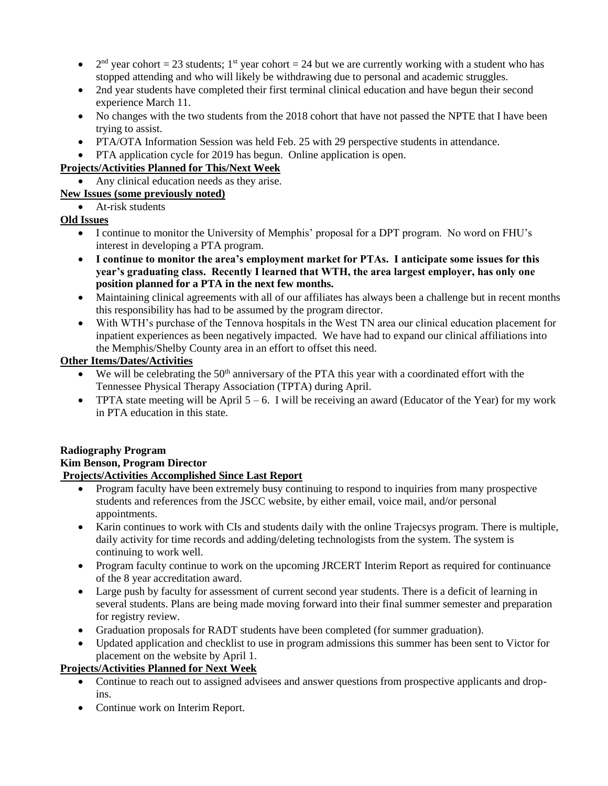- $\bullet$  $2<sup>nd</sup>$  year cohort = 23 students; 1<sup>st</sup> year cohort = 24 but we are currently working with a student who has stopped attending and who will likely be withdrawing due to personal and academic struggles.
- 2nd year students have completed their first terminal clinical education and have begun their second experience March 11.
- No changes with the two students from the 2018 cohort that have not passed the NPTE that I have been trying to assist.
- PTA/OTA Information Session was held Feb. 25 with 29 perspective students in attendance.
- PTA application cycle for 2019 has begun. Online application is open.

# **Projects/Activities Planned for This/Next Week**

• Any clinical education needs as they arise.

# **New Issues (some previously noted)**

# • At-risk students

# **Old Issues**

- I continue to monitor the University of Memphis' proposal for a DPT program. No word on FHU's interest in developing a PTA program.
- **I continue to monitor the area's employment market for PTAs. I anticipate some issues for this year's graduating class. Recently I learned that WTH, the area largest employer, has only one position planned for a PTA in the next few months.**
- Maintaining clinical agreements with all of our affiliates has always been a challenge but in recent months this responsibility has had to be assumed by the program director.
- With WTH's purchase of the Tennova hospitals in the West TN area our clinical education placement for inpatient experiences as been negatively impacted. We have had to expand our clinical affiliations into the Memphis/Shelby County area in an effort to offset this need.

# **Other Items/Dates/Activities**

- $\bullet$  We will be celebrating the 50<sup>th</sup> anniversary of the PTA this year with a coordinated effort with the Tennessee Physical Therapy Association (TPTA) during April.
- **•** TPTA state meeting will be April  $5 6$ . I will be receiving an award (Educator of the Year) for my work in PTA education in this state.

#### **Radiography Program Kim Benson, Program Director Projects/Activities Accomplished Since Last Report**

- Program faculty have been extremely busy continuing to respond to inquiries from many prospective students and references from the JSCC website, by either email, voice mail, and/or personal appointments.
- Karin continues to work with CIs and students daily with the online Trajecsys program. There is multiple, daily activity for time records and adding/deleting technologists from the system. The system is continuing to work well.
- Program faculty continue to work on the upcoming JRCERT Interim Report as required for continuance of the 8 year accreditation award.
- Large push by faculty for assessment of current second year students. There is a deficit of learning in several students. Plans are being made moving forward into their final summer semester and preparation for registry review.
- Graduation proposals for RADT students have been completed (for summer graduation).
- Updated application and checklist to use in program admissions this summer has been sent to Victor for placement on the website by April 1.

# **Projects/Activities Planned for Next Week**

- Continue to reach out to assigned advisees and answer questions from prospective applicants and dropins.
- Continue work on Interim Report.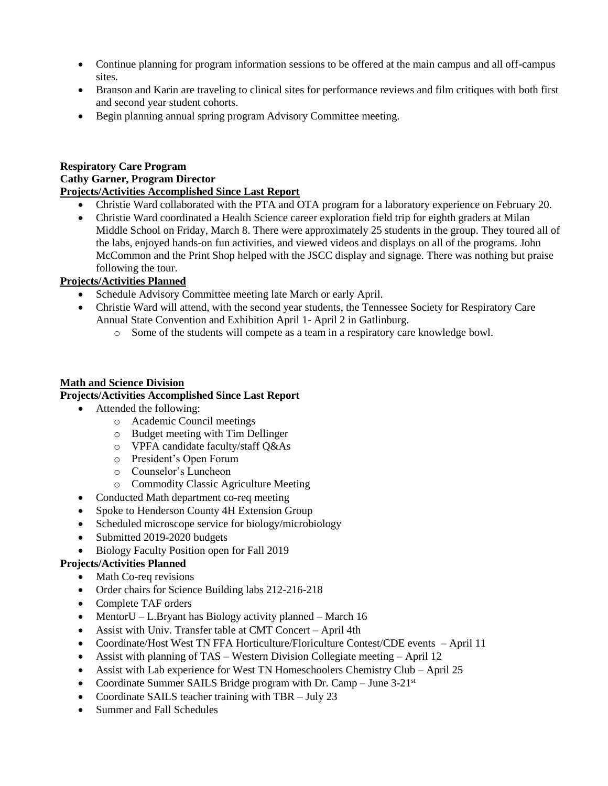- Continue planning for program information sessions to be offered at the main campus and all off-campus sites.
- Branson and Karin are traveling to clinical sites for performance reviews and film critiques with both first and second year student cohorts.
- Begin planning annual spring program Advisory Committee meeting.

### **Respiratory Care Program Cathy Garner, Program Director Projects/Activities Accomplished Since Last Report**

- Christie Ward collaborated with the PTA and OTA program for a laboratory experience on February 20.
- Christie Ward coordinated a Health Science career exploration field trip for eighth graders at Milan Middle School on Friday, March 8. There were approximately 25 students in the group. They toured all of the labs, enjoyed hands-on fun activities, and viewed videos and displays on all of the programs. John McCommon and the Print Shop helped with the JSCC display and signage. There was nothing but praise following the tour.

# **Projects/Activities Planned**

- Schedule Advisory Committee meeting late March or early April.
- Christie Ward will attend, with the second year students, the Tennessee Society for Respiratory Care Annual State Convention and Exhibition April 1- April 2 in Gatlinburg.
	- o Some of the students will compete as a team in a respiratory care knowledge bowl.

## **Math and Science Division**

## **Projects/Activities Accomplished Since Last Report**

- Attended the following:
	- o Academic Council meetings
	- o Budget meeting with Tim Dellinger
	- o VPFA candidate faculty/staff Q&As
	- o President's Open Forum
	- o Counselor's Luncheon
	- o Commodity Classic Agriculture Meeting
- Conducted Math department co-req meeting
- Spoke to Henderson County 4H Extension Group
- Scheduled microscope service for biology/microbiology
- Submitted 2019-2020 budgets
- Biology Faculty Position open for Fall 2019

## **Projects/Activities Planned**

- Math Co-req revisions
- Order chairs for Science Building labs 212-216-218
- Complete TAF orders
- MentorU L.Bryant has Biology activity planned March 16
- Assist with Univ. Transfer table at CMT Concert April 4th
- Coordinate/Host West TN FFA Horticulture/Floriculture Contest/CDE events April 11
- Assist with planning of TAS Western Division Collegiate meeting April 12
- Assist with Lab experience for West TN Homeschoolers Chemistry Club April 25
- Coordinate Summer SAILS Bridge program with Dr. Camp June 3-21st
- Coordinate SAILS teacher training with TBR July 23
- Summer and Fall Schedules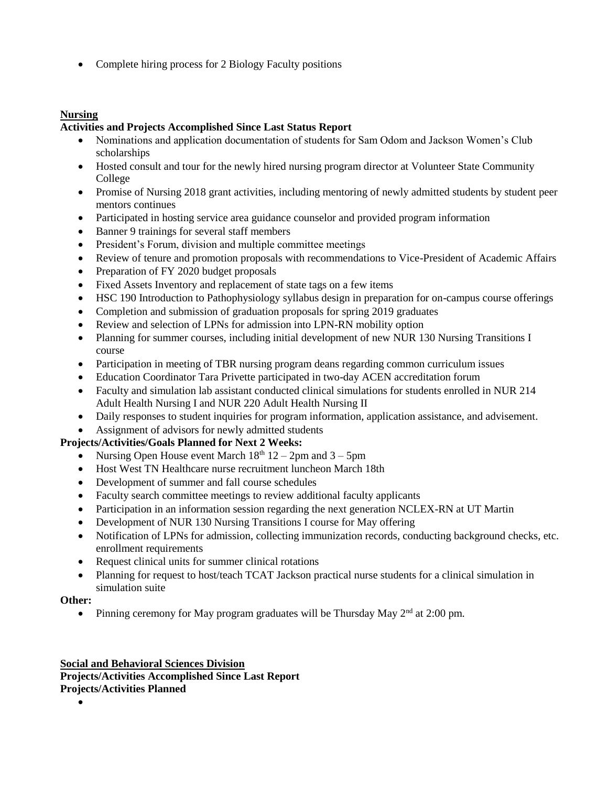• Complete hiring process for 2 Biology Faculty positions

# **Nursing**

## **Activities and Projects Accomplished Since Last Status Report**

- Nominations and application documentation of students for Sam Odom and Jackson Women's Club scholarships
- Hosted consult and tour for the newly hired nursing program director at Volunteer State Community College
- Promise of Nursing 2018 grant activities, including mentoring of newly admitted students by student peer mentors continues
- Participated in hosting service area guidance counselor and provided program information
- Banner 9 trainings for several staff members
- President's Forum, division and multiple committee meetings
- Review of tenure and promotion proposals with recommendations to Vice-President of Academic Affairs
- Preparation of FY 2020 budget proposals
- Fixed Assets Inventory and replacement of state tags on a few items
- HSC 190 Introduction to Pathophysiology syllabus design in preparation for on-campus course offerings
- Completion and submission of graduation proposals for spring 2019 graduates
- Review and selection of LPNs for admission into LPN-RN mobility option
- Planning for summer courses, including initial development of new NUR 130 Nursing Transitions I course
- Participation in meeting of TBR nursing program deans regarding common curriculum issues
- Education Coordinator Tara Privette participated in two-day ACEN accreditation forum
- Faculty and simulation lab assistant conducted clinical simulations for students enrolled in NUR 214 Adult Health Nursing I and NUR 220 Adult Health Nursing II
- Daily responses to student inquiries for program information, application assistance, and advisement.
- Assignment of advisors for newly admitted students

## **Projects/Activities/Goals Planned for Next 2 Weeks:**

- Nursing Open House event March  $18<sup>th</sup> 12 2<sup>pm</sup>$  and  $3 5<sup>pm</sup>$
- Host West TN Healthcare nurse recruitment luncheon March 18th
- Development of summer and fall course schedules
- Faculty search committee meetings to review additional faculty applicants
- Participation in an information session regarding the next generation NCLEX-RN at UT Martin
- Development of NUR 130 Nursing Transitions I course for May offering
- Notification of LPNs for admission, collecting immunization records, conducting background checks, etc. enrollment requirements
- Request clinical units for summer clinical rotations
- Planning for request to host/teach TCAT Jackson practical nurse students for a clinical simulation in simulation suite

#### **Other:**

• Pinning ceremony for May program graduates will be Thursday May  $2<sup>nd</sup>$  at 2:00 pm.

#### **Social and Behavioral Sciences Division Projects/Activities Accomplished Since Last Report Projects/Activities Planned**

## $\bullet$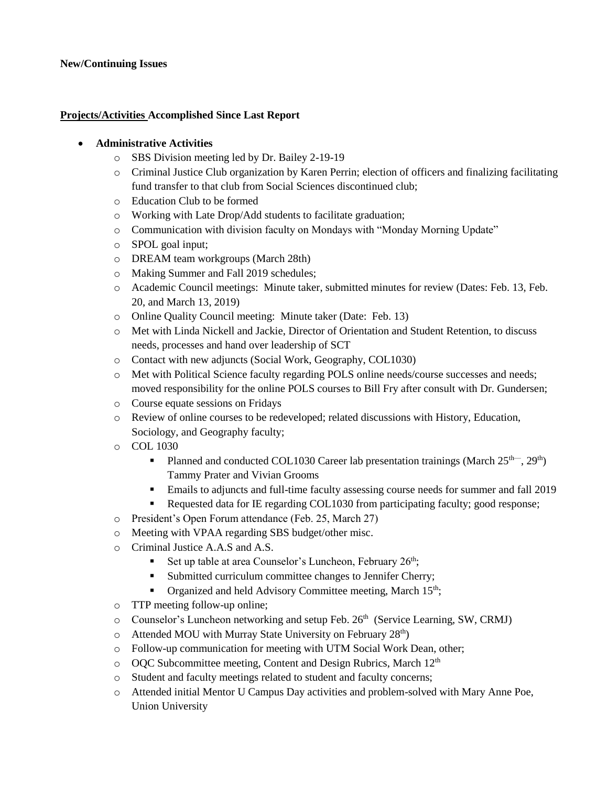## **New/Continuing Issues**

### **Projects/Activities Accomplished Since Last Report**

### **Administrative Activities**

- o SBS Division meeting led by Dr. Bailey 2-19-19
- o Criminal Justice Club organization by Karen Perrin; election of officers and finalizing facilitating fund transfer to that club from Social Sciences discontinued club;
- o Education Club to be formed
- o Working with Late Drop/Add students to facilitate graduation;
- o Communication with division faculty on Mondays with "Monday Morning Update"
- o SPOL goal input;
- o DREAM team workgroups (March 28th)
- o Making Summer and Fall 2019 schedules;
- o Academic Council meetings: Minute taker, submitted minutes for review (Dates: Feb. 13, Feb. 20, and March 13, 2019)
- o Online Quality Council meeting: Minute taker (Date: Feb. 13)
- o Met with Linda Nickell and Jackie, Director of Orientation and Student Retention, to discuss needs, processes and hand over leadership of SCT
- o Contact with new adjuncts (Social Work, Geography, COL1030)
- o Met with Political Science faculty regarding POLS online needs/course successes and needs; moved responsibility for the online POLS courses to Bill Fry after consult with Dr. Gundersen;
- o Course equate sessions on Fridays
- o Review of online courses to be redeveloped; related discussions with History, Education, Sociology, and Geography faculty;
- o COL 1030
	- Planned and conducted COL1030 Career lab presentation trainings (March  $25<sup>th</sup>$ ,  $29<sup>th</sup>$ ) Tammy Prater and Vivian Grooms
	- Emails to adjuncts and full-time faculty assessing course needs for summer and fall 2019
	- Requested data for IE regarding COL1030 from participating faculty; good response;
- o President's Open Forum attendance (Feb. 25, March 27)
- o Meeting with VPAA regarding SBS budget/other misc.
- o Criminal Justice A.A.S and A.S.
	- Set up table at area Counselor's Luncheon, February 26<sup>th</sup>;
	- **Submitted curriculum committee changes to Jennifer Cherry;**
	- **•** Organized and held Advisory Committee meeting, March  $15<sup>th</sup>$ ;
- o TTP meeting follow-up online;
- o Counselor's Luncheon networking and setup Feb. 26<sup>th</sup> (Service Learning, SW, CRMJ)
- $\circ$  Attended MOU with Murray State University on February 28<sup>th</sup>)
- o Follow-up communication for meeting with UTM Social Work Dean, other;
- $\circ$  OOC Subcommittee meeting, Content and Design Rubrics, March 12<sup>th</sup>
- o Student and faculty meetings related to student and faculty concerns;
- o Attended initial Mentor U Campus Day activities and problem-solved with Mary Anne Poe, Union University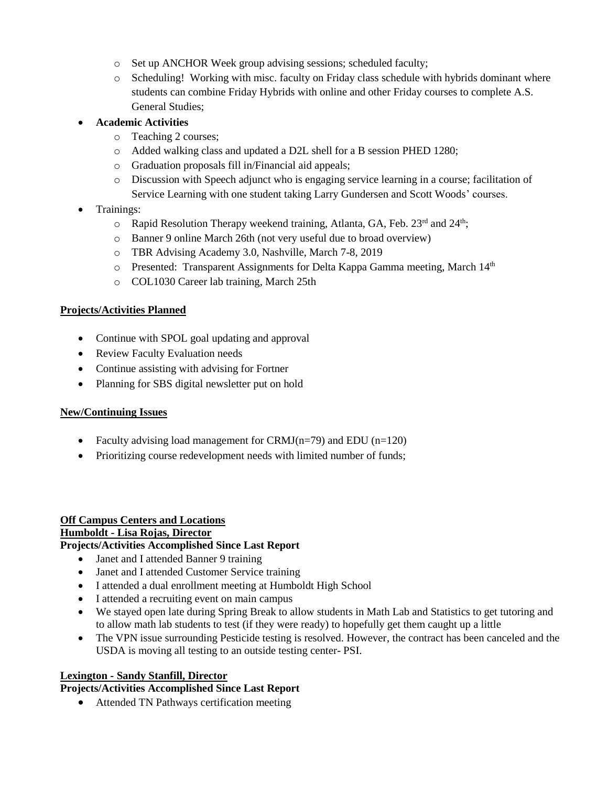- o Set up ANCHOR Week group advising sessions; scheduled faculty;
- $\circ$  Scheduling! Working with misc. faculty on Friday class schedule with hybrids dominant where students can combine Friday Hybrids with online and other Friday courses to complete A.S. General Studies;
- **Academic Activities**
	- o Teaching 2 courses;
	- o Added walking class and updated a D2L shell for a B session PHED 1280;
	- o Graduation proposals fill in/Financial aid appeals;
	- o Discussion with Speech adjunct who is engaging service learning in a course; facilitation of Service Learning with one student taking Larry Gundersen and Scott Woods' courses.
- Trainings:
	- $\circ$  Rapid Resolution Therapy weekend training, Atlanta, GA, Feb. 23<sup>rd</sup> and 24<sup>th</sup>;
	- o Banner 9 online March 26th (not very useful due to broad overview)
	- o TBR Advising Academy 3.0, Nashville, March 7-8, 2019
	- $\circ$  Presented: Transparent Assignments for Delta Kappa Gamma meeting, March 14<sup>th</sup>
	- o COL1030 Career lab training, March 25th

- Continue with SPOL goal updating and approval
- Review Faculty Evaluation needs
- Continue assisting with advising for Fortner
- Planning for SBS digital newsletter put on hold

#### **New/Continuing Issues**

- Faculty advising load management for CRMJ( $n=79$ ) and EDU ( $n=120$ )
- Prioritizing course redevelopment needs with limited number of funds;

# **Off Campus Centers and Locations Humboldt - Lisa Rojas, Director**

## **Projects/Activities Accomplished Since Last Report**

- Janet and I attended Banner 9 training
- Janet and I attended Customer Service training
- I attended a dual enrollment meeting at Humboldt High School
- I attended a recruiting event on main campus
- We stayed open late during Spring Break to allow students in Math Lab and Statistics to get tutoring and to allow math lab students to test (if they were ready) to hopefully get them caught up a little
- The VPN issue surrounding Pesticide testing is resolved. However, the contract has been canceled and the USDA is moving all testing to an outside testing center- PSI.

#### **Lexington - Sandy Stanfill, Director**

#### **Projects/Activities Accomplished Since Last Report**

• Attended TN Pathways certification meeting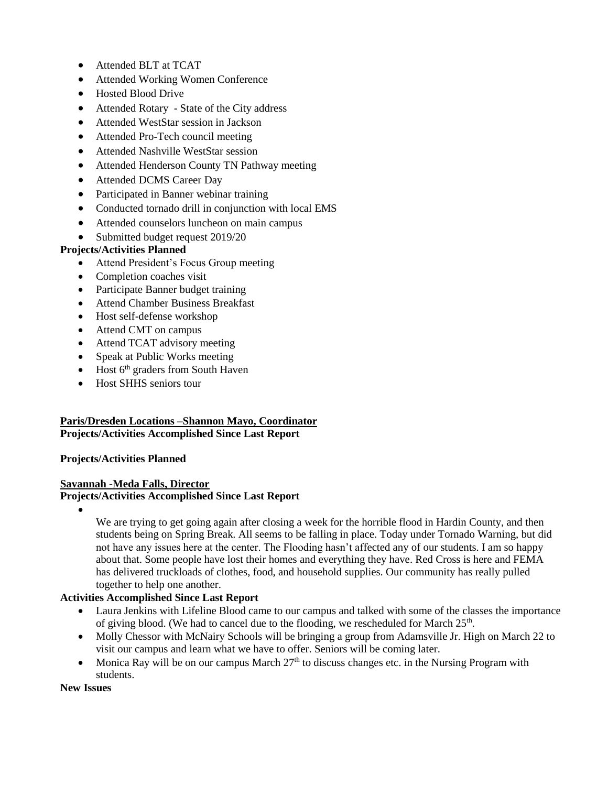- Attended BLT at TCAT
- Attended Working Women Conference
- Hosted Blood Drive
- Attended Rotary State of the City address
- Attended WestStar session in Jackson
- Attended Pro-Tech council meeting
- Attended Nashville WestStar session
- Attended Henderson County TN Pathway meeting
- Attended DCMS Career Day
- Participated in Banner webinar training
- Conducted tornado drill in conjunction with local EMS
- Attended counselors luncheon on main campus
- Submitted budget request 2019/20

- Attend President's Focus Group meeting
- Completion coaches visit
- Participate Banner budget training
- Attend Chamber Business Breakfast
- Host self-defense workshop
- Attend CMT on campus
- Attend TCAT advisory meeting
- Speak at Public Works meeting
- $\bullet$  Host  $6<sup>th</sup>$  graders from South Haven
- Host SHHS seniors tour

# **Paris/Dresden Locations –Shannon Mayo, Coordinator Projects/Activities Accomplished Since Last Report**

## **Projects/Activities Planned**

#### **Savannah -Meda Falls, Director Projects/Activities Accomplished Since Last Report**

 $\bullet$ 

We are trying to get going again after closing a week for the horrible flood in Hardin County, and then students being on Spring Break. All seems to be falling in place. Today under Tornado Warning, but did not have any issues here at the center. The Flooding hasn't affected any of our students. I am so happy about that. Some people have lost their homes and everything they have. Red Cross is here and FEMA has delivered truckloads of clothes, food, and household supplies. Our community has really pulled together to help one another.

## **Activities Accomplished Since Last Report**

- Laura Jenkins with Lifeline Blood came to our campus and talked with some of the classes the importance of giving blood. (We had to cancel due to the flooding, we rescheduled for March  $25<sup>th</sup>$ .
- Molly Chessor with McNairy Schools will be bringing a group from Adamsville Jr. High on March 22 to visit our campus and learn what we have to offer. Seniors will be coming later.
- Monica Ray will be on our campus March  $27<sup>th</sup>$  to discuss changes etc. in the Nursing Program with students.

**New Issues**